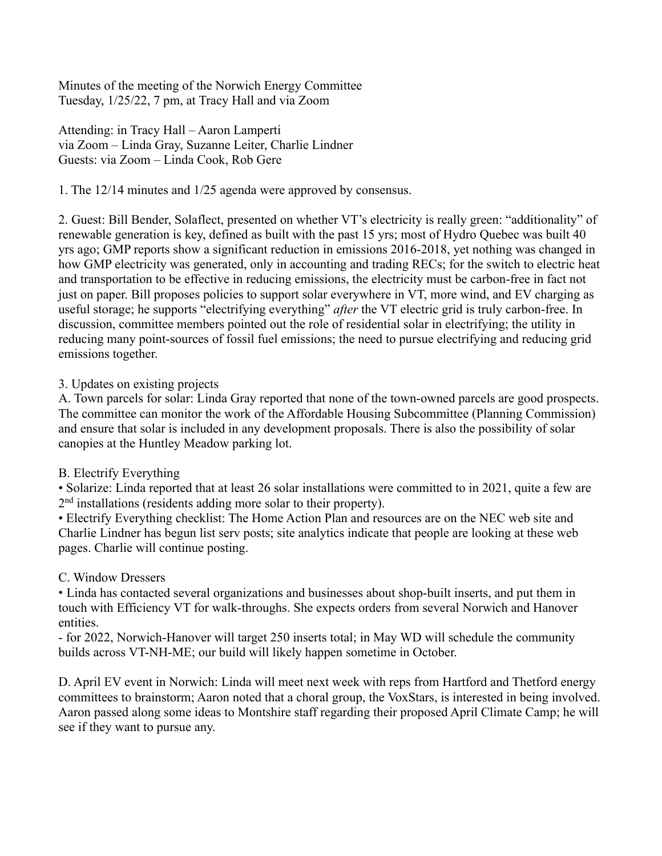Minutes of the meeting of the Norwich Energy Committee Tuesday, 1/25/22, 7 pm, at Tracy Hall and via Zoom

Attending: in Tracy Hall – Aaron Lamperti via Zoom – Linda Gray, Suzanne Leiter, Charlie Lindner Guests: via Zoom – Linda Cook, Rob Gere

1. The 12/14 minutes and 1/25 agenda were approved by consensus.

2. Guest: Bill Bender, Solaflect, presented on whether VT's electricity is really green: "additionality" of renewable generation is key, defined as built with the past 15 yrs; most of Hydro Quebec was built 40 yrs ago; GMP reports show a significant reduction in emissions 2016-2018, yet nothing was changed in how GMP electricity was generated, only in accounting and trading RECs; for the switch to electric heat and transportation to be effective in reducing emissions, the electricity must be carbon-free in fact not just on paper. Bill proposes policies to support solar everywhere in VT, more wind, and EV charging as useful storage; he supports "electrifying everything" *after* the VT electric grid is truly carbon-free. In discussion, committee members pointed out the role of residential solar in electrifying; the utility in reducing many point-sources of fossil fuel emissions; the need to pursue electrifying and reducing grid emissions together.

## 3. Updates on existing projects

A. Town parcels for solar: Linda Gray reported that none of the town-owned parcels are good prospects. The committee can monitor the work of the Affordable Housing Subcommittee (Planning Commission) and ensure that solar is included in any development proposals. There is also the possibility of solar canopies at the Huntley Meadow parking lot.

## B. Electrify Everything

• Solarize: Linda reported that at least 26 solar installations were committed to in 2021, quite a few are 2<sup>nd</sup> installations (residents adding more solar to their property).

• Electrify Everything checklist: The Home Action Plan and resources are on the NEC web site and Charlie Lindner has begun list serv posts; site analytics indicate that people are looking at these web pages. Charlie will continue posting.

## C. Window Dressers

• Linda has contacted several organizations and businesses about shop-built inserts, and put them in touch with Efficiency VT for walk-throughs. She expects orders from several Norwich and Hanover entities.

- for 2022, Norwich-Hanover will target 250 inserts total; in May WD will schedule the community builds across VT-NH-ME; our build will likely happen sometime in October.

D. April EV event in Norwich: Linda will meet next week with reps from Hartford and Thetford energy committees to brainstorm; Aaron noted that a choral group, the VoxStars, is interested in being involved. Aaron passed along some ideas to Montshire staff regarding their proposed April Climate Camp; he will see if they want to pursue any.